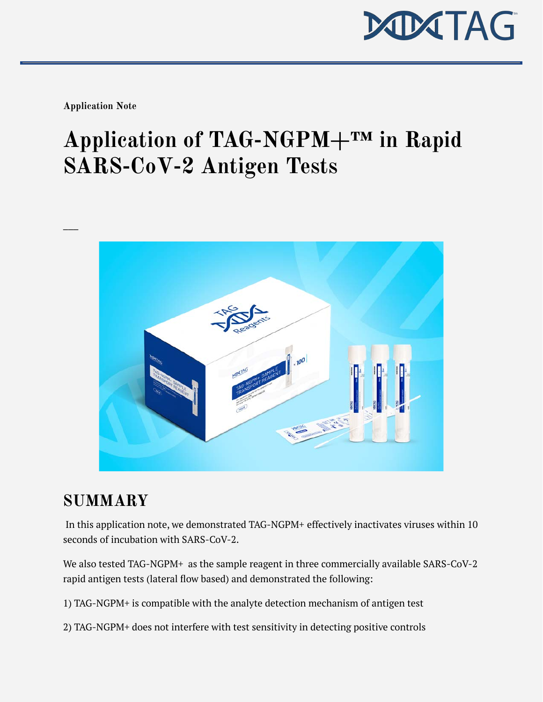

**Application Note**

# **Application of TAG-NGPM+™ in Rapid SARS-CoV-2 Antigen Tests**



# **SUMMARY**

In this application note, we demonstrated TAG-NGPM+ effectively inactivates viruses within 10 seconds of incubation with SARS-CoV-2.

We also tested TAG-NGPM+ as the sample reagent in three commercially available SARS-CoV-2 rapid antigen tests (lateral flow based) and demonstrated the following:

- 1) TAG-NGPM+ is compatible with the analyte detection mechanism of antigen test
- 2) TAG-NGPM+ does not interfere with test sensitivity in detecting positive controls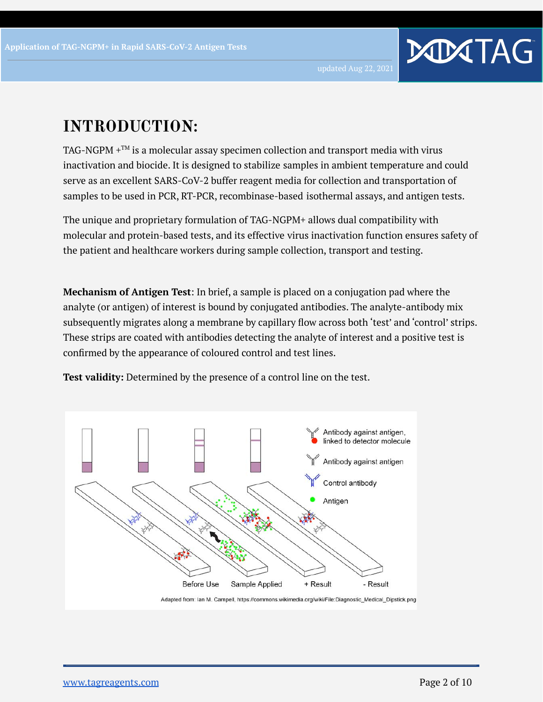# **INTRODUCTION:**

TAG-NGPM  $+^{TM}$  is a molecular assay specimen collection and transport media with virus inactivation and biocide. It is designed to stabilize samples in ambient temperature and could serve as an excellent SARS-CoV-2 buffer reagent media for collection and transportation of samples to be used in PCR, RT-PCR, recombinase-based isothermal assays, and antigen tests.

The unique and proprietary formulation of TAG-NGPM+ allows dual compatibility with molecular and protein-based tests, and its effective virus inactivation function ensures safety of the patient and healthcare workers during sample collection, transport and testing.

**Mechanism of Antigen Test**: In brief, a sample is placed on a conjugation pad where the analyte (or antigen) of interest is bound by conjugated antibodies. The analyte-antibody mix subsequently migrates along a membrane by capillary flow across both 'test' and 'control' strips. These strips are coated with antibodies detecting the analyte of interest and a positive test is confirmed by the appearance of coloured control and test lines.

**Test validity:** Determined by the presence of a control line on the test.

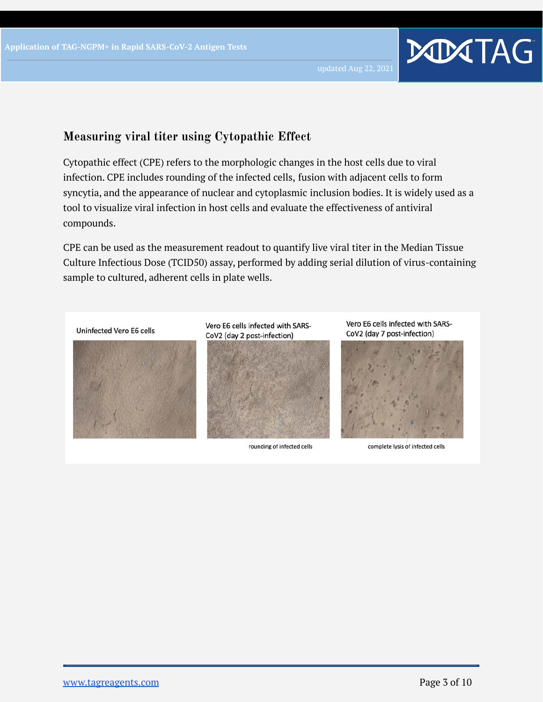#### **Measuring viral titer using Cytopathic Effect**

Cytopathic effect (CPE) refers to the morphologic changes in the host cells due to viral infection. CPE includes rounding of the infected cells, fusion with adjacent cells to form syncytia, and the appearance of nuclear and cytoplasmic inclusion bodies. It is widely used as a tool to visualize viral infection in host cells and evaluate the effectiveness of antiviral compounds.

CPE can be used as the measurement readout to quantify live viral titer in the Median Tissue Culture Infectious Dose (TCID50) assay, performed by adding serial dilution of virus-containing sample to cultured, adherent cells in plate wells.

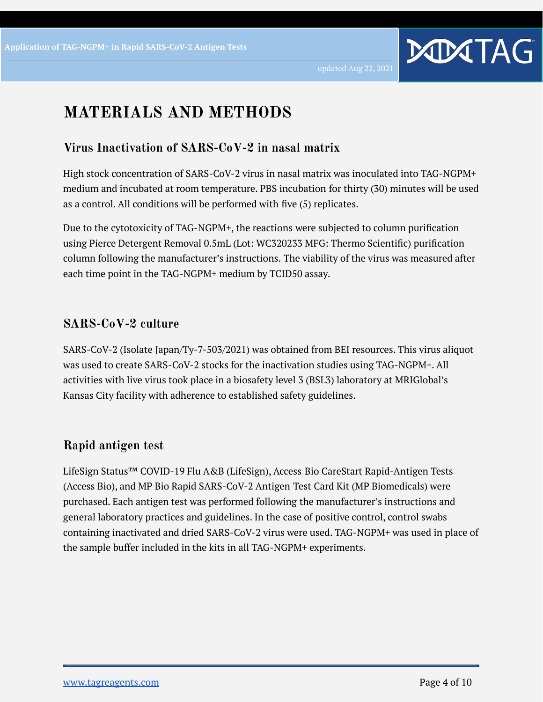## **MATERIALS AND METHODS**

#### **Virus Inactivation of SARS-CoV-2 in nasal matrix**

High stock concentration of SARS-CoV-2 virus in nasal matrix was inoculated into TAG-NGPM+ medium and incubated at room temperature. PBS incubation for thirty (30) minutes will be used as a control. All conditions will be performed with five (5) replicates.

Due to the cytotoxicity of TAG-NGPM+, the reactions were subjected to column purification using Pierce Detergent Removal 0.5mL (Lot: WC320233 MFG: Thermo Scientific) purification column following the manufacturer's instructions. The viability of the virus was measured after each time point in the TAG-NGPM+ medium by TCID50 assay.

#### **SARS-CoV-2 culture**

SARS-CoV-2 (Isolate Japan/Ty-7-503/2021) was obtained from BEI resources. This virus aliquot was used to create SARS-CoV-2 stocks for the inactivation studies using TAG-NGPM+. All activities with live virus took place in a biosafety level 3 (BSL3) laboratory at MRIGlobal's Kansas City facility with adherence to established safety guidelines.

#### **Rapid antigen test**

LifeSign Status™ COVID-19 Flu A&B (LifeSign), Access Bio CareStart Rapid-Antigen Tests (Access Bio), and MP Bio Rapid SARS-CoV-2 Antigen Test Card Kit (MP Biomedicals) were purchased. Each antigen test was performed following the manufacturer's instructions and general laboratory practices and guidelines. In the case of positive control, control swabs containing inactivated and dried SARS-CoV-2 virus were used. TAG-NGPM+ was used in place of the sample buffer included in the kits in all TAG-NGPM+ experiments.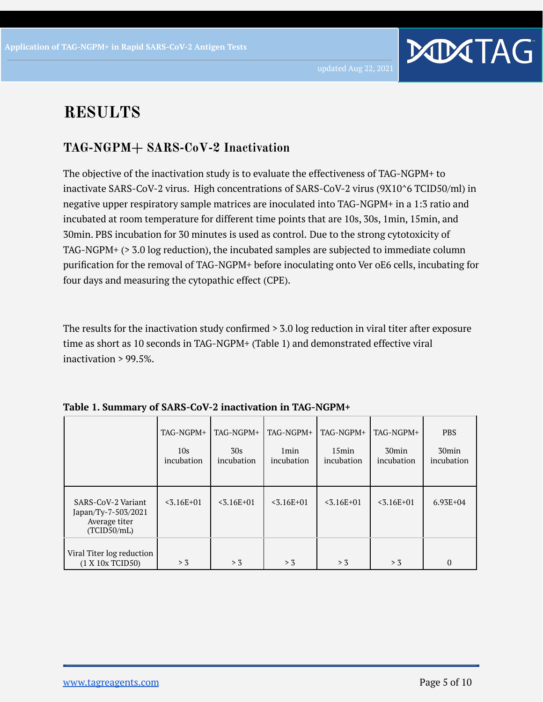# **RESULTS**

### **TAG-NGPM+ SARS-CoV-2 Inactivation**

The objective of the inactivation study is to evaluate the effectiveness of TAG-NGPM+ to inactivate SARS-CoV-2 virus. High concentrations of SARS-CoV-2 virus (9X10^6 TCID50/ml) in negative upper respiratory sample matrices are inoculated into TAG-NGPM+ in a 1:3 ratio and incubated at room temperature for different time points that are 10s, 30s, 1min, 15min, and 30min. PBS incubation for 30 minutes is used as control. Due to the strong cytotoxicity of TAG-NGPM+ (> 3.0 log reduction), the incubated samples are subjected to immediate column purification for the removal of TAG-NGPM+ before inoculating onto Ver oE6 cells, incubating for four days and measuring the cytopathic effect (CPE).

The results for the inactivation study confirmed > 3.0 log reduction in viral titer after exposure time as short as 10 seconds in TAG-NGPM+ (Table 1) and demonstrated effective viral inactivation > 99.5%.

|                                                                           | TAG-NGPM+         | TAG-NGPM+         | TAG-NGPM+                      | TAG-NGPM+              | TAG-NGPM+                       | <b>PBS</b>                      |
|---------------------------------------------------------------------------|-------------------|-------------------|--------------------------------|------------------------|---------------------------------|---------------------------------|
|                                                                           | 10s<br>incubation | 30s<br>incubation | 1 <sub>min</sub><br>incubation | $15$ min<br>incubation | 30 <sub>min</sub><br>incubation | 30 <sub>min</sub><br>incubation |
| SARS-CoV-2 Variant<br>Japan/Ty-7-503/2021<br>Average titer<br>(TCID50/mL) | $< 3.16E + 01$    | $< 3.16E + 01$    | $< 3.16E + 01$                 | $< 3.16E + 01$         | $< 3.16E + 01$                  | $6.93E + 04$                    |
| Viral Titer log reduction<br>(1 X 10x TCID50)                             | > 3               | > 3               | > 3                            | > 3                    | > 3                             | 0                               |

| Table 1. Summary of SARS-CoV-2 inactivation in TAG-NGPM+ |
|----------------------------------------------------------|
|----------------------------------------------------------|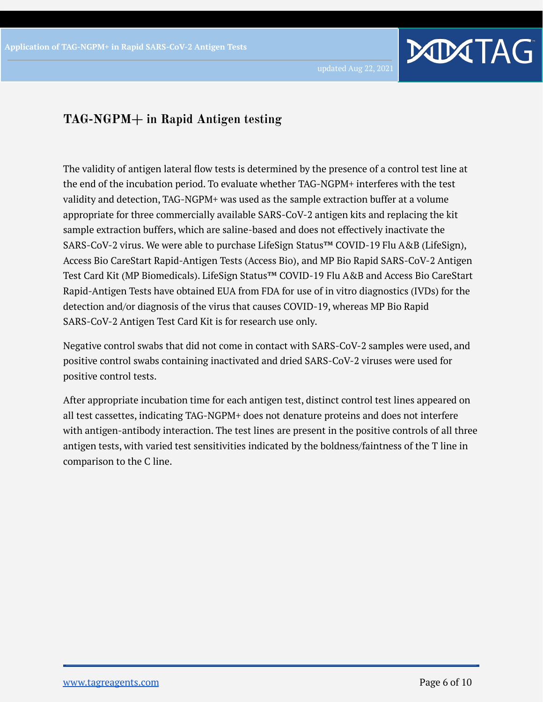#### **TAG-NGPM+ in Rapid Antigen testing**

The validity of antigen lateral flow tests is determined by the presence of a control test line at the end of the incubation period. To evaluate whether TAG-NGPM+ interferes with the test validity and detection, TAG-NGPM+ was used as the sample extraction buffer at a volume appropriate for three commercially available SARS-CoV-2 antigen kits and replacing the kit sample extraction buffers, which are saline-based and does not effectively inactivate the SARS-CoV-2 virus. We were able to purchase LifeSign Status™ COVID-19 Flu A&B (LifeSign), Access Bio CareStart Rapid-Antigen Tests (Access Bio), and MP Bio Rapid SARS-CoV-2 Antigen Test Card Kit (MP Biomedicals). LifeSign Status™ COVID-19 Flu A&B and Access Bio CareStart Rapid-Antigen Tests have obtained EUA from FDA for use of in vitro diagnostics (IVDs) for the detection and/or diagnosis of the virus that causes COVID-19, whereas MP Bio Rapid SARS-CoV-2 Antigen Test Card Kit is for research use only.

Negative control swabs that did not come in contact with SARS-CoV-2 samples were used, and positive control swabs containing inactivated and dried SARS-CoV-2 viruses were used for positive control tests.

After appropriate incubation time for each antigen test, distinct control test lines appeared on all test cassettes, indicating TAG-NGPM+ does not denature proteins and does not interfere with antigen-antibody interaction. The test lines are present in the positive controls of all three antigen tests, with varied test sensitivities indicated by the boldness/faintness of the T line in comparison to the C line.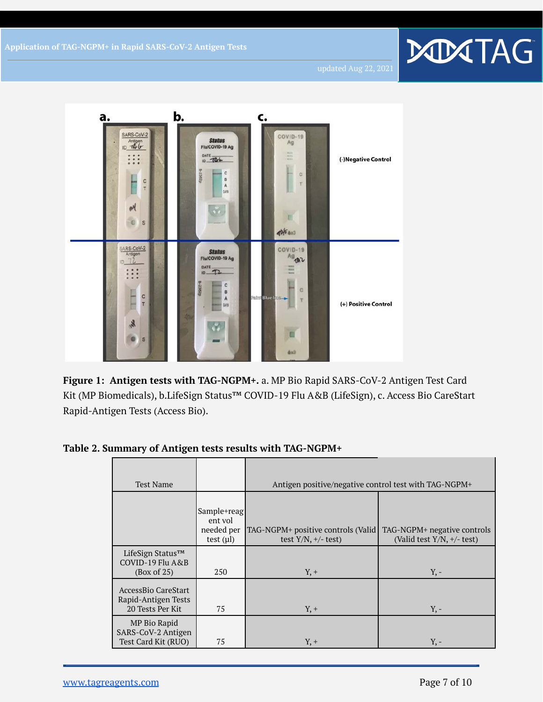

**Figure 1: Antigen tests with TAG-NGPM+.** a. MP Bio Rapid SARS-CoV-2 Antigen Test Card Kit (MP Biomedicals), b.LifeSign Status™ COVID-19 Flu A&B (LifeSign), c. Access Bio CareStart Rapid-Antigen Tests (Access Bio).

**Table 2. Summary of Antigen tests results with TAG-NGPM+**

| <b>Test Name</b>                                               |                                                        | Antigen positive/negative control test with TAG-NGPM+           |                                                                |  |  |
|----------------------------------------------------------------|--------------------------------------------------------|-----------------------------------------------------------------|----------------------------------------------------------------|--|--|
|                                                                | Sample+reag<br>ent vol<br>needed per<br>test $(\mu l)$ | TAG-NGPM+ positive controls (Valid)<br>test $Y/N$ , $+/-$ test) | TAG-NGPM+ negative controls<br>(Valid test $Y/N$ , $+/-$ test) |  |  |
| LifeSign Status™<br>COVID-19 Flu A&B<br>(Box of 25)            | 250                                                    | $Y, +$                                                          | $Y_{1}$ -                                                      |  |  |
| AccessBio CareStart<br>Rapid-Antigen Tests<br>20 Tests Per Kit | 75                                                     | $Y, +$                                                          | $Y, -$                                                         |  |  |
| MP Bio Rapid<br>SARS-CoV-2 Antigen<br>Test Card Kit (RUO)      | 75                                                     | $Y, +$                                                          | $Y_{1}$ -                                                      |  |  |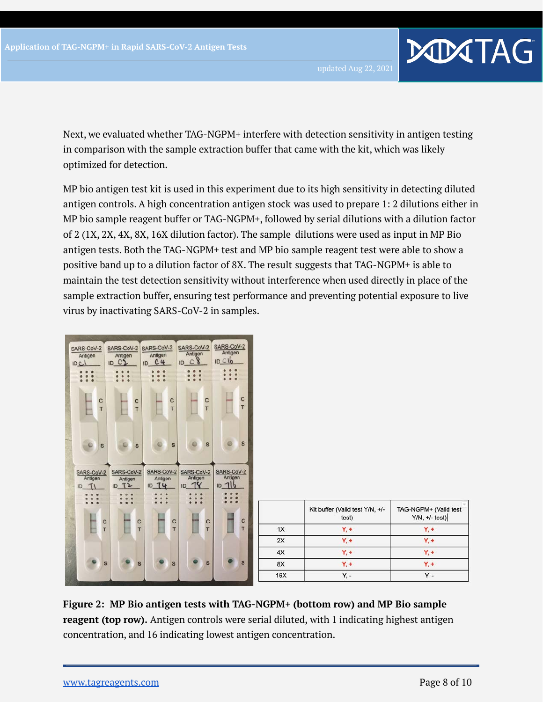Next, we evaluated whether TAG-NGPM+ interfere with detection sensitivity in antigen testing in comparison with the sample extraction buffer that came with the kit, which was likely optimized for detection.

MP bio antigen test kit is used in this experiment due to its high sensitivity in detecting diluted antigen controls. A high concentration antigen stock was used to prepare 1: 2 dilutions either in MP bio sample reagent buffer or TAG-NGPM+, followed by serial dilutions with a dilution factor of 2 (1X, 2X, 4X, 8X, 16X dilution factor). The sample dilutions were used as input in MP Bio antigen tests. Both the TAG-NGPM+ test and MP bio sample reagent test were able to show a positive band up to a dilution factor of 8X. The result suggests that TAG-NGPM+ is able to maintain the test detection sensitivity without interference when used directly in place of the sample extraction buffer, ensuring test performance and preventing potential exposure to live virus by inactivating SARS-CoV-2 in samples.



**Figure 2: MP Bio antigen tests with TAG-NGPM+ (bottom row) and MP Bio sample reagent (top row).** Antigen controls were serial diluted, with 1 indicating highest antigen concentration, and 16 indicating lowest antigen concentration.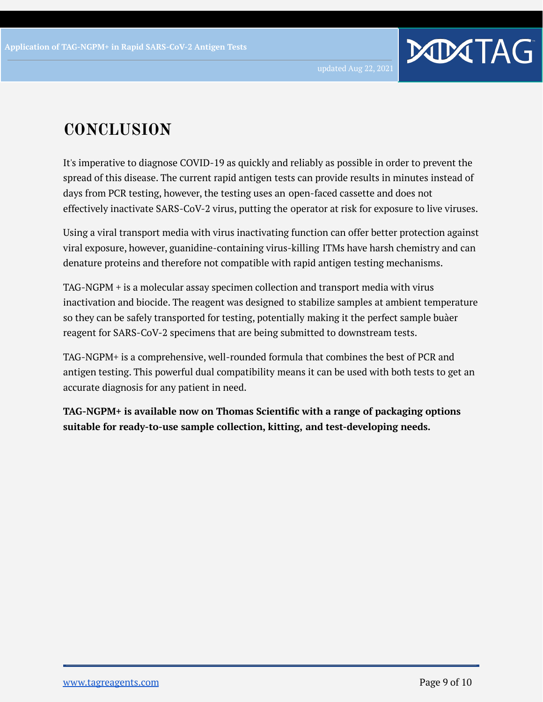# **CONCLUSION**

It's imperative to diagnose COVID-19 as quickly and reliably as possible in order to prevent the spread of this disease. The current rapid antigen tests can provide results in minutes instead of days from PCR testing, however, the testing uses an open-faced cassette and does not effectively inactivate SARS-CoV-2 virus, putting the operator at risk for exposure to live viruses.

Using a viral transport media with virus inactivating function can offer better protection against viral exposure, however, guanidine-containing virus-killing ITMs have harsh chemistry and can denature proteins and therefore not compatible with rapid antigen testing mechanisms.

TAG-NGPM + is a molecular assay specimen collection and transport media with virus inactivation and biocide. The reagent was designed to stabilize samples at ambient temperature so they can be safely transported for testing, potentially making it the perfect sample buàer reagent for SARS-CoV-2 specimens that are being submitted to downstream tests.

TAG-NGPM+ is a comprehensive, well-rounded formula that combines the best of PCR and antigen testing. This powerful dual compatibility means it can be used with both tests to get an accurate diagnosis for any patient in need.

**TAG-NGPM+ is available now on Thomas Scientific with a range of packaging options suitable for ready-to-use sample collection, kitting, and test-developing needs.**